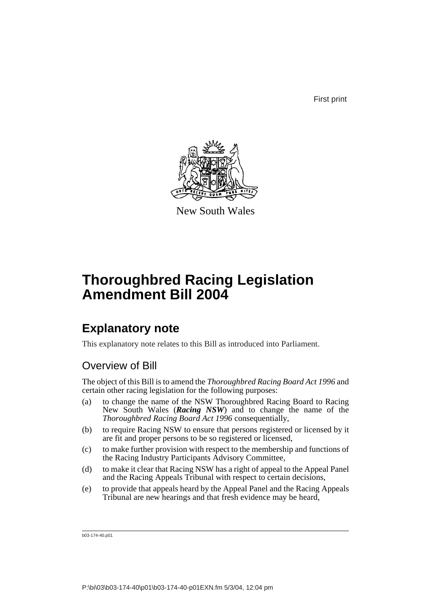First print



New South Wales

# **Thoroughbred Racing Legislation Amendment Bill 2004**

## **Explanatory note**

This explanatory note relates to this Bill as introduced into Parliament.

## Overview of Bill

The object of this Bill is to amend the *Thoroughbred Racing Board Act 1996* and certain other racing legislation for the following purposes:

- (a) to change the name of the NSW Thoroughbred Racing Board to Racing New South Wales (*Racing NSW*) and to change the name of the *Thoroughbred Racing Board Act 1996* consequentially,
- (b) to require Racing NSW to ensure that persons registered or licensed by it are fit and proper persons to be so registered or licensed,
- (c) to make further provision with respect to the membership and functions of the Racing Industry Participants Advisory Committee,
- (d) to make it clear that Racing NSW has a right of appeal to the Appeal Panel and the Racing Appeals Tribunal with respect to certain decisions,
- (e) to provide that appeals heard by the Appeal Panel and the Racing Appeals Tribunal are new hearings and that fresh evidence may be heard,

b03-174-40.p01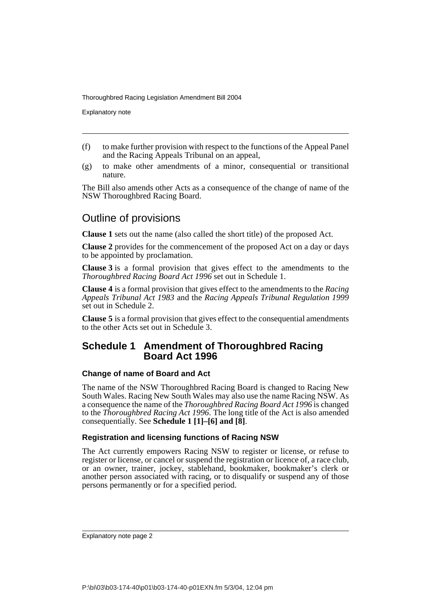Explanatory note

- (f) to make further provision with respect to the functions of the Appeal Panel and the Racing Appeals Tribunal on an appeal,
- (g) to make other amendments of a minor, consequential or transitional nature.

The Bill also amends other Acts as a consequence of the change of name of the NSW Thoroughbred Racing Board.

## Outline of provisions

**Clause 1** sets out the name (also called the short title) of the proposed Act.

**Clause 2** provides for the commencement of the proposed Act on a day or days to be appointed by proclamation.

**Clause 3** is a formal provision that gives effect to the amendments to the *Thoroughbred Racing Board Act 1996* set out in Schedule 1.

**Clause 4** is a formal provision that gives effect to the amendments to the *Racing Appeals Tribunal Act 1983* and the *Racing Appeals Tribunal Regulation 1999* set out in Schedule 2.

**Clause 5** is a formal provision that gives effect to the consequential amendments to the other Acts set out in Schedule 3.

### **Schedule 1 Amendment of Thoroughbred Racing Board Act 1996**

### **Change of name of Board and Act**

The name of the NSW Thoroughbred Racing Board is changed to Racing New South Wales. Racing New South Wales may also use the name Racing NSW. As a consequence the name of the *Thoroughbred Racing Board Act 1996* is changed to the *Thoroughbred Racing Act 1996*. The long title of the Act is also amended consequentially. See **Schedule 1 [1]–[6] and [8]**.

### **Registration and licensing functions of Racing NSW**

The Act currently empowers Racing NSW to register or license, or refuse to register or license, or cancel or suspend the registration or licence of, a race club, or an owner, trainer, jockey, stablehand, bookmaker, bookmaker's clerk or another person associated with racing, or to disqualify or suspend any of those persons permanently or for a specified period.

Explanatory note page 2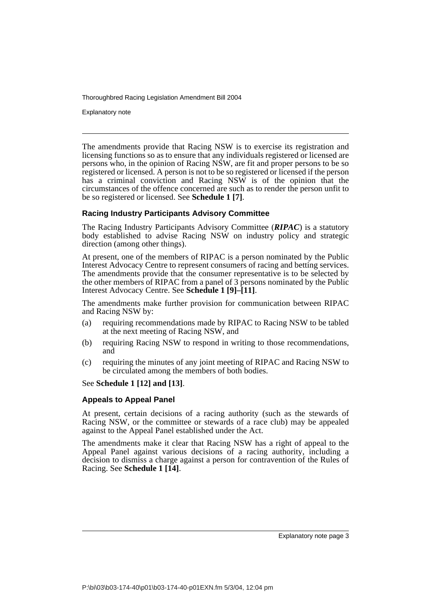Explanatory note

The amendments provide that Racing NSW is to exercise its registration and licensing functions so as to ensure that any individuals registered or licensed are persons who, in the opinion of Racing NSW, are fit and proper persons to be so registered or licensed. A person is not to be so registered or licensed if the person has a criminal conviction and Racing NSW is of the opinion that the circumstances of the offence concerned are such as to render the person unfit to be so registered or licensed. See **Schedule 1 [7]**.

#### **Racing Industry Participants Advisory Committee**

The Racing Industry Participants Advisory Committee (*RIPAC*) is a statutory body established to advise Racing NSW on industry policy and strategic direction (among other things).

At present, one of the members of RIPAC is a person nominated by the Public Interest Advocacy Centre to represent consumers of racing and betting services. The amendments provide that the consumer representative is to be selected by the other members of RIPAC from a panel of 3 persons nominated by the Public Interest Advocacy Centre. See **Schedule 1 [9]–[11]**.

The amendments make further provision for communication between RIPAC and Racing NSW by:

- (a) requiring recommendations made by RIPAC to Racing NSW to be tabled at the next meeting of Racing NSW, and
- (b) requiring Racing NSW to respond in writing to those recommendations, and
- (c) requiring the minutes of any joint meeting of RIPAC and Racing NSW to be circulated among the members of both bodies.

#### See **Schedule 1 [12] and [13]**.

#### **Appeals to Appeal Panel**

At present, certain decisions of a racing authority (such as the stewards of Racing NSW, or the committee or stewards of a race club) may be appealed against to the Appeal Panel established under the Act.

The amendments make it clear that Racing NSW has a right of appeal to the Appeal Panel against various decisions of a racing authority, including a decision to dismiss a charge against a person for contravention of the Rules of Racing. See **Schedule 1 [14]**.

Explanatory note page 3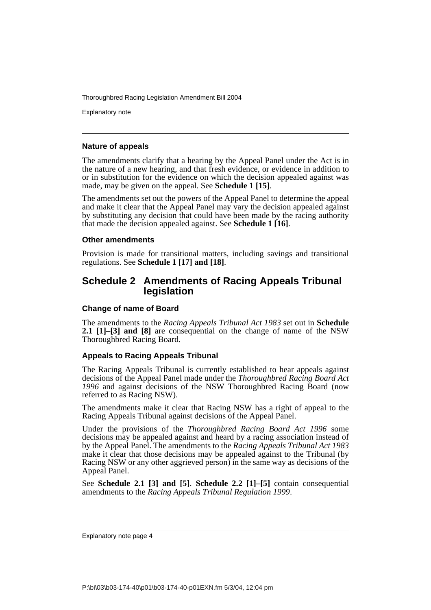Explanatory note

#### **Nature of appeals**

The amendments clarify that a hearing by the Appeal Panel under the Act is in the nature of a new hearing, and that fresh evidence, or evidence in addition to or in substitution for the evidence on which the decision appealed against was made, may be given on the appeal. See **Schedule 1 [15]**.

The amendments set out the powers of the Appeal Panel to determine the appeal and make it clear that the Appeal Panel may vary the decision appealed against by substituting any decision that could have been made by the racing authority that made the decision appealed against. See **Schedule 1 [16]**.

#### **Other amendments**

Provision is made for transitional matters, including savings and transitional regulations. See **Schedule 1 [17] and [18]**.

### **Schedule 2 Amendments of Racing Appeals Tribunal legislation**

#### **Change of name of Board**

The amendments to the *Racing Appeals Tribunal Act 1983* set out in **Schedule 2.1 [1]–[3] and [8]** are consequential on the change of name of the NSW Thoroughbred Racing Board.

#### **Appeals to Racing Appeals Tribunal**

The Racing Appeals Tribunal is currently established to hear appeals against decisions of the Appeal Panel made under the *Thoroughbred Racing Board Act 1996* and against decisions of the NSW Thoroughbred Racing Board (now referred to as Racing NSW).

The amendments make it clear that Racing NSW has a right of appeal to the Racing Appeals Tribunal against decisions of the Appeal Panel.

Under the provisions of the *Thoroughbred Racing Board Act 1996* some decisions may be appealed against and heard by a racing association instead of by the Appeal Panel. The amendments to the *Racing Appeals Tribunal Act 1983* make it clear that those decisions may be appealed against to the Tribunal (by Racing NSW or any other aggrieved person) in the same way as decisions of the Appeal Panel.

See **Schedule 2.1 [3] and [5]**. **Schedule 2.2 [1]–[5]** contain consequential amendments to the *Racing Appeals Tribunal Regulation 1999*.

Explanatory note page 4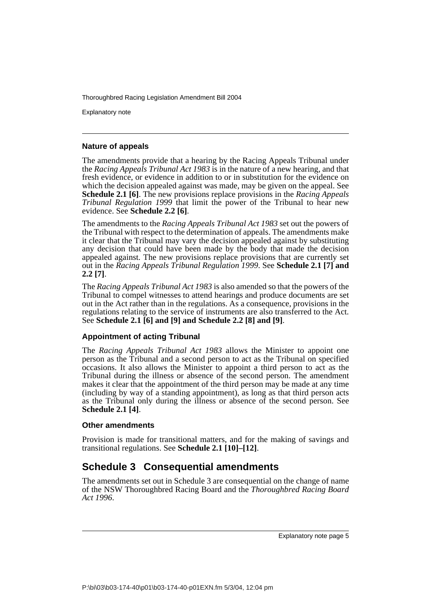Explanatory note

#### **Nature of appeals**

The amendments provide that a hearing by the Racing Appeals Tribunal under the *Racing Appeals Tribunal Act 1983* is in the nature of a new hearing, and that fresh evidence, or evidence in addition to or in substitution for the evidence on which the decision appealed against was made, may be given on the appeal. See **Schedule 2.1 [6]**. The new provisions replace provisions in the *Racing Appeals Tribunal Regulation 1999* that limit the power of the Tribunal to hear new evidence. See **Schedule 2.2 [6]**.

The amendments to the *Racing Appeals Tribunal Act 1983* set out the powers of the Tribunal with respect to the determination of appeals. The amendments make it clear that the Tribunal may vary the decision appealed against by substituting any decision that could have been made by the body that made the decision appealed against. The new provisions replace provisions that are currently set out in the *Racing Appeals Tribunal Regulation 1999*. See **Schedule 2.1 [7] and 2.2 [7]**.

The *Racing Appeals Tribunal Act 1983* is also amended so that the powers of the Tribunal to compel witnesses to attend hearings and produce documents are set out in the Act rather than in the regulations. As a consequence, provisions in the regulations relating to the service of instruments are also transferred to the Act. See **Schedule 2.1 [6] and [9] and Schedule 2.2 [8] and [9]**.

#### **Appointment of acting Tribunal**

The *Racing Appeals Tribunal Act 1983* allows the Minister to appoint one person as the Tribunal and a second person to act as the Tribunal on specified occasions. It also allows the Minister to appoint a third person to act as the Tribunal during the illness or absence of the second person. The amendment makes it clear that the appointment of the third person may be made at any time (including by way of a standing appointment), as long as that third person acts as the Tribunal only during the illness or absence of the second person. See **Schedule 2.1 [4]**.

#### **Other amendments**

Provision is made for transitional matters, and for the making of savings and transitional regulations. See **Schedule 2.1 [10]–[12]**.

## **Schedule 3 Consequential amendments**

The amendments set out in Schedule 3 are consequential on the change of name of the NSW Thoroughbred Racing Board and the *Thoroughbred Racing Board Act 1996*.

Explanatory note page 5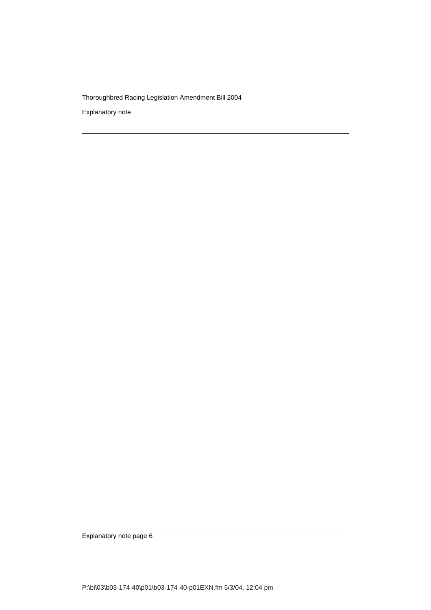Explanatory note

Explanatory note page 6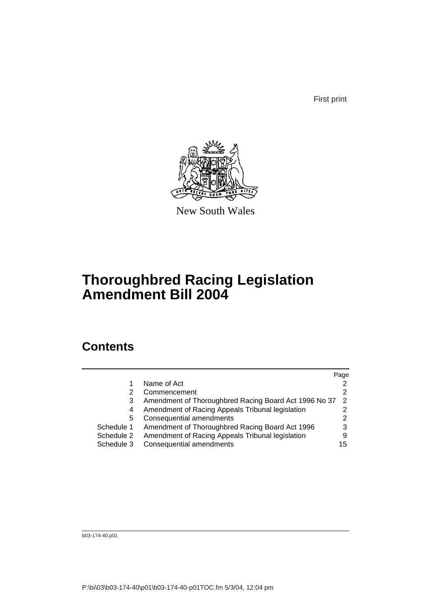First print



New South Wales

## **Thoroughbred Racing Legislation Amendment Bill 2004**

## **Contents**

|            |                                                       | Page          |
|------------|-------------------------------------------------------|---------------|
| 1          | Name of Act                                           |               |
| 2          | Commencement                                          |               |
| 3          | Amendment of Thoroughbred Racing Board Act 1996 No 37 | $\mathcal{P}$ |
| 4          | Amendment of Racing Appeals Tribunal legislation      |               |
| 5          | Consequential amendments                              |               |
| Schedule 1 | Amendment of Thoroughbred Racing Board Act 1996       | 3             |
| Schedule 2 | Amendment of Racing Appeals Tribunal legislation      | 9             |
| Schedule 3 | Consequential amendments                              | 15            |

b03-174-40.p01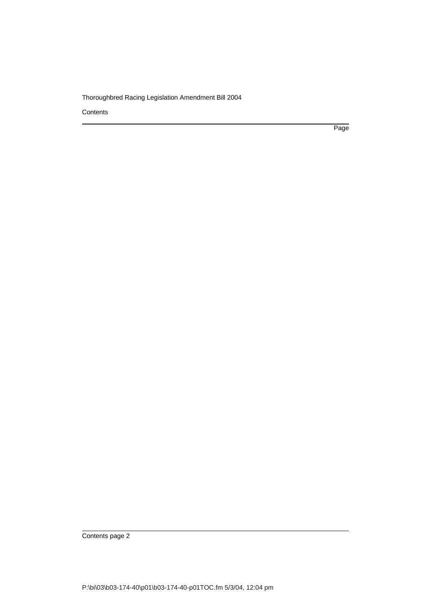**Contents** 

Page

Contents page 2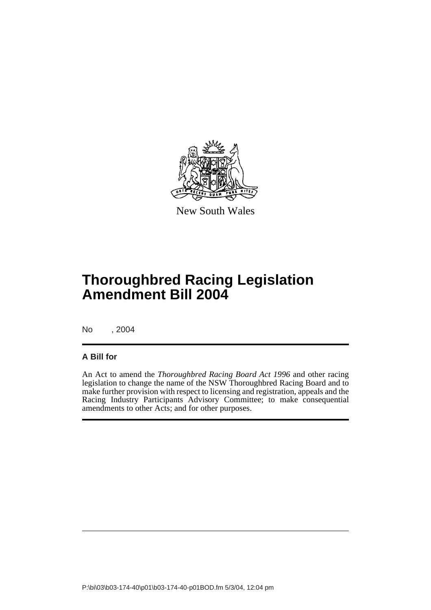

New South Wales

## **Thoroughbred Racing Legislation Amendment Bill 2004**

No , 2004

### **A Bill for**

An Act to amend the *Thoroughbred Racing Board Act 1996* and other racing legislation to change the name of the NSW Thoroughbred Racing Board and to make further provision with respect to licensing and registration, appeals and the Racing Industry Participants Advisory Committee; to make consequential amendments to other Acts; and for other purposes.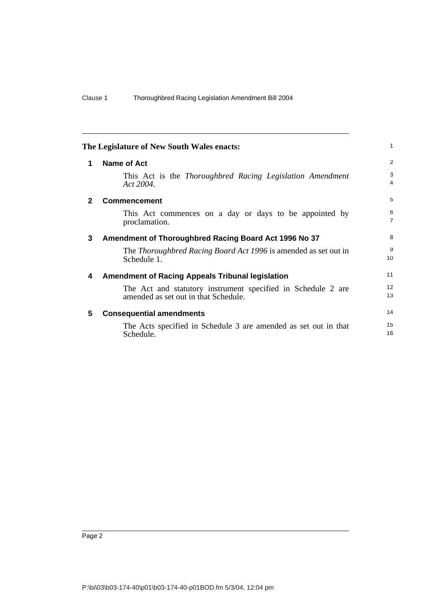<span id="page-9-4"></span><span id="page-9-3"></span><span id="page-9-2"></span><span id="page-9-1"></span><span id="page-9-0"></span>

|              | The Legislature of New South Wales enacts:                                                           | $\mathbf{1}$        |  |  |  |  |
|--------------|------------------------------------------------------------------------------------------------------|---------------------|--|--|--|--|
| 1            | <b>Name of Act</b>                                                                                   |                     |  |  |  |  |
|              | This Act is the Thoroughbred Racing Legislation Amendment<br>Act 2004.                               | 3<br>$\overline{4}$ |  |  |  |  |
| $\mathbf{2}$ | <b>Commencement</b>                                                                                  | 5                   |  |  |  |  |
|              | This Act commences on a day or days to be appointed by<br>proclamation.                              | 6<br>$\overline{7}$ |  |  |  |  |
| 3            | Amendment of Thoroughbred Racing Board Act 1996 No 37                                                | 8                   |  |  |  |  |
|              | The <i>Thoroughbred Racing Board Act 1996</i> is amended as set out in<br>Schedule 1.                | 9<br>10             |  |  |  |  |
| 4            | <b>Amendment of Racing Appeals Tribunal legislation</b>                                              | 11                  |  |  |  |  |
|              | The Act and statutory instrument specified in Schedule 2 are<br>amended as set out in that Schedule. | 12<br>13            |  |  |  |  |
| 5            | <b>Consequential amendments</b>                                                                      | 14                  |  |  |  |  |
|              | The Acts specified in Schedule 3 are amended as set out in that<br>Schedule.                         | 15<br>16            |  |  |  |  |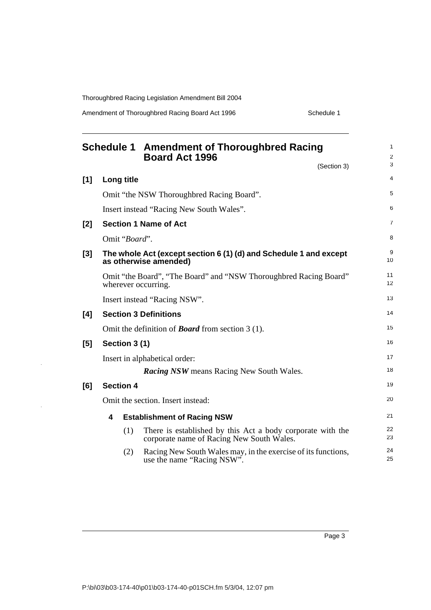Amendment of Thoroughbred Racing Board Act 1996 Schedule 1

<span id="page-10-0"></span>

|       |   |                  | <b>Schedule 1 Amendment of Thoroughbred Racing</b><br><b>Board Act 1996</b><br>(Section 3)              | 1<br>$\overline{c}$<br>3 |
|-------|---|------------------|---------------------------------------------------------------------------------------------------------|--------------------------|
| [1]   |   | Long title       |                                                                                                         | 4                        |
|       |   |                  | Omit "the NSW Thoroughbred Racing Board".                                                               | 5                        |
|       |   |                  | Insert instead "Racing New South Wales".                                                                | 6                        |
| [2]   |   |                  | <b>Section 1 Name of Act</b>                                                                            | 7                        |
|       |   | Omit "Board".    |                                                                                                         | 8                        |
| $[3]$ |   |                  | The whole Act (except section 6(1)(d) and Schedule 1 and except<br>as otherwise amended)                | 9<br>10                  |
|       |   |                  | Omit "the Board", "The Board" and "NSW Thoroughbred Racing Board"<br>wherever occurring.                | 11<br>12                 |
|       |   |                  | Insert instead "Racing NSW".                                                                            | 13                       |
| [4]   |   |                  | <b>Section 3 Definitions</b>                                                                            | 14                       |
|       |   |                  | Omit the definition of <b>Board</b> from section $3(1)$ .                                               | 15                       |
| [5]   |   | Section 3 (1)    |                                                                                                         | 16                       |
|       |   |                  | Insert in alphabetical order:                                                                           | 17                       |
|       |   |                  | <b>Racing NSW</b> means Racing New South Wales.                                                         | 18                       |
| [6]   |   | <b>Section 4</b> |                                                                                                         | 19                       |
|       |   |                  | Omit the section. Insert instead:                                                                       | 20                       |
|       | 4 |                  | <b>Establishment of Racing NSW</b>                                                                      | 21                       |
|       |   | (1)              | There is established by this Act a body corporate with the<br>corporate name of Racing New South Wales. | 22<br>23                 |
|       |   | (2)              | Racing New South Wales may, in the exercise of its functions,<br>use the name "Racing NSW".             | 24<br>25                 |

Page 3

 $\mathbf{r}$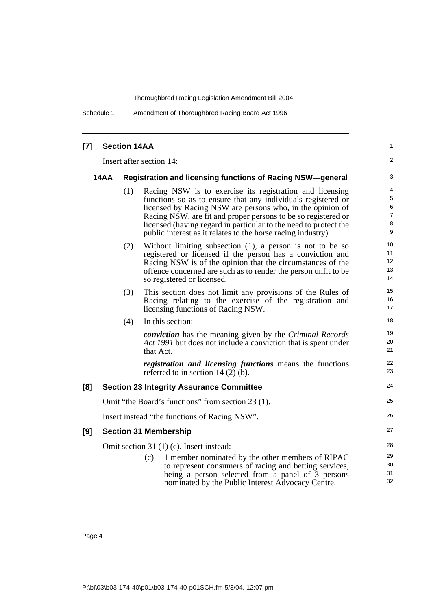Schedule 1 Amendment of Thoroughbred Racing Board Act 1996

| [7]                                       |                                                                                                                                                                                                                                                                                                | <b>Section 14AA</b> |                                                                                                                                                                                                                                                                                                                                                                                            | 1                          |
|-------------------------------------------|------------------------------------------------------------------------------------------------------------------------------------------------------------------------------------------------------------------------------------------------------------------------------------------------|---------------------|--------------------------------------------------------------------------------------------------------------------------------------------------------------------------------------------------------------------------------------------------------------------------------------------------------------------------------------------------------------------------------------------|----------------------------|
|                                           |                                                                                                                                                                                                                                                                                                |                     | Insert after section 14:                                                                                                                                                                                                                                                                                                                                                                   | 2                          |
|                                           | 14AA                                                                                                                                                                                                                                                                                           |                     | <b>Registration and licensing functions of Racing NSW-general</b>                                                                                                                                                                                                                                                                                                                          | 3                          |
| (1)                                       |                                                                                                                                                                                                                                                                                                |                     | Racing NSW is to exercise its registration and licensing<br>functions so as to ensure that any individuals registered or<br>licensed by Racing NSW are persons who, in the opinion of<br>Racing NSW, are fit and proper persons to be so registered or<br>licensed (having regard in particular to the need to protect the<br>public interest as it relates to the horse racing industry). | 4<br>5<br>6<br>7<br>8<br>9 |
|                                           | Without limiting subsection $(1)$ , a person is not to be so<br>(2)<br>registered or licensed if the person has a conviction and<br>Racing NSW is of the opinion that the circumstances of the<br>offence concerned are such as to render the person unfit to be<br>so registered or licensed. |                     |                                                                                                                                                                                                                                                                                                                                                                                            |                            |
| (3)<br>licensing functions of Racing NSW. |                                                                                                                                                                                                                                                                                                |                     | This section does not limit any provisions of the Rules of<br>Racing relating to the exercise of the registration and                                                                                                                                                                                                                                                                      | 15<br>16<br>17             |
|                                           | (4)                                                                                                                                                                                                                                                                                            |                     | In this section:                                                                                                                                                                                                                                                                                                                                                                           | 18                         |
|                                           |                                                                                                                                                                                                                                                                                                |                     | <b>conviction</b> has the meaning given by the Criminal Records<br>Act 1991 but does not include a conviction that is spent under<br>that Act.                                                                                                                                                                                                                                             | 19<br>20<br>21             |
|                                           |                                                                                                                                                                                                                                                                                                |                     | <i>registration and licensing functions</i> means the functions<br>referred to in section $14(2)$ (b).                                                                                                                                                                                                                                                                                     | 22<br>23                   |
| [8]                                       |                                                                                                                                                                                                                                                                                                |                     | <b>Section 23 Integrity Assurance Committee</b>                                                                                                                                                                                                                                                                                                                                            | 24                         |
|                                           |                                                                                                                                                                                                                                                                                                |                     | Omit "the Board's functions" from section 23 (1).                                                                                                                                                                                                                                                                                                                                          | 25                         |
|                                           |                                                                                                                                                                                                                                                                                                |                     | Insert instead "the functions of Racing NSW".                                                                                                                                                                                                                                                                                                                                              | 26                         |
| [9]                                       |                                                                                                                                                                                                                                                                                                |                     | <b>Section 31 Membership</b>                                                                                                                                                                                                                                                                                                                                                               | 27                         |
|                                           |                                                                                                                                                                                                                                                                                                |                     | Omit section 31 (1) (c). Insert instead:<br>1 member nominated by the other members of RIPAC<br>(c)<br>to represent consumers of racing and betting services,<br>being a person selected from a panel of 3 persons<br>nominated by the Public Interest Advocacy Centre.                                                                                                                    | 28<br>29<br>30<br>31<br>32 |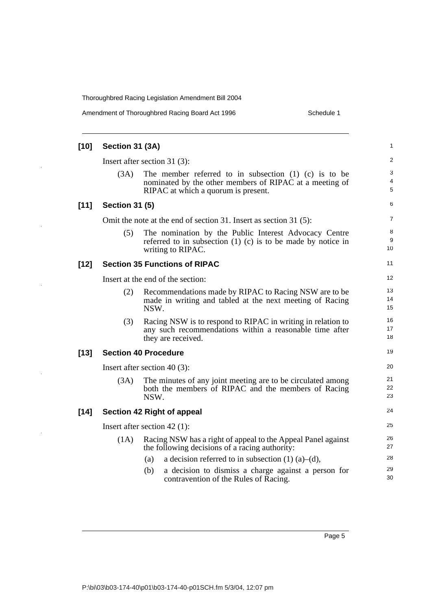$\ddot{\phantom{a}}$ 

 $\frac{1}{2}$ 

 $\bar{\alpha}$ 

 $\hat{\mathcal{A}}$ 

Amendment of Thoroughbred Racing Board Act 1996 Schedule 1

| $[10]$ | Section 31 (3A)                   |                                                                                                                                                             |  |  |  |
|--------|-----------------------------------|-------------------------------------------------------------------------------------------------------------------------------------------------------------|--|--|--|
|        |                                   | Insert after section $31(3)$ :                                                                                                                              |  |  |  |
|        | (3A)                              | The member referred to in subsection $(1)$ $(c)$ is to be<br>nominated by the other members of RIPAC at a meeting of<br>RIPAC at which a quorum is present. |  |  |  |
| $[11]$ | <b>Section 31 (5)</b>             |                                                                                                                                                             |  |  |  |
|        |                                   | Omit the note at the end of section 31. Insert as section 31 (5):                                                                                           |  |  |  |
|        | (5)                               | The nomination by the Public Interest Advocacy Centre<br>referred to in subsection $(1)$ $(c)$ is to be made by notice in<br>writing to RIPAC.              |  |  |  |
| $[12]$ |                                   | <b>Section 35 Functions of RIPAC</b>                                                                                                                        |  |  |  |
|        | Insert at the end of the section: |                                                                                                                                                             |  |  |  |
|        | (2)                               | Recommendations made by RIPAC to Racing NSW are to be<br>made in writing and tabled at the next meeting of Racing<br>NSW.                                   |  |  |  |
|        | (3)                               | Racing NSW is to respond to RIPAC in writing in relation to<br>any such recommendations within a reasonable time after<br>they are received.                |  |  |  |
| $[13]$ |                                   | <b>Section 40 Procedure</b>                                                                                                                                 |  |  |  |
|        |                                   | Insert after section 40 $(3)$ :                                                                                                                             |  |  |  |
|        | (3A)                              | The minutes of any joint meeting are to be circulated among<br>both the members of RIPAC and the members of Racing<br>NSW.                                  |  |  |  |
| $[14]$ |                                   | Section 42 Right of appeal                                                                                                                                  |  |  |  |
|        | Insert after section $42$ (1):    |                                                                                                                                                             |  |  |  |
|        | (1A)                              | Racing NSW has a right of appeal to the Appeal Panel against<br>the following decisions of a racing authority:                                              |  |  |  |
|        |                                   | a decision referred to in subsection $(1)$ $(a)$ – $(d)$ ,<br>(a)                                                                                           |  |  |  |
|        |                                   | (b)<br>a decision to dismiss a charge against a person for<br>contravention of the Rules of Racing.                                                         |  |  |  |
|        |                                   |                                                                                                                                                             |  |  |  |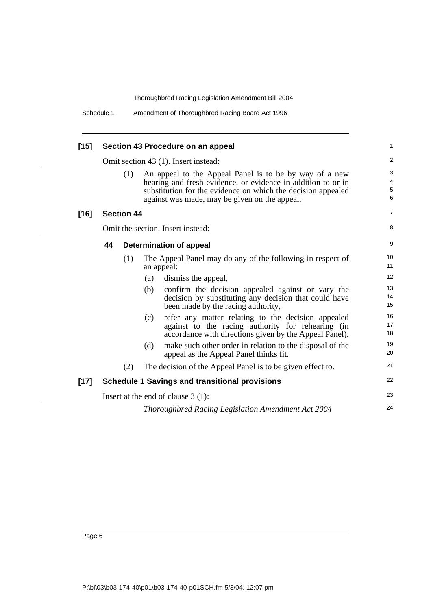| $[15]$ | Section 43 Procedure on an appeal                                               |                                                                                                                                                                                                                                         |                  |  |
|--------|---------------------------------------------------------------------------------|-----------------------------------------------------------------------------------------------------------------------------------------------------------------------------------------------------------------------------------------|------------------|--|
|        |                                                                                 | Omit section 43 (1). Insert instead:                                                                                                                                                                                                    | $\overline{c}$   |  |
|        | (1)                                                                             | An appeal to the Appeal Panel is to be by way of a new<br>hearing and fresh evidence, or evidence in addition to or in<br>substitution for the evidence on which the decision appealed<br>against was made, may be given on the appeal. | 3<br>4<br>5<br>6 |  |
| $[16]$ | <b>Section 44</b>                                                               |                                                                                                                                                                                                                                         | 7                |  |
|        |                                                                                 | Omit the section. Insert instead:                                                                                                                                                                                                       | 8                |  |
|        | 44                                                                              | <b>Determination of appeal</b>                                                                                                                                                                                                          | 9                |  |
|        | (1)<br>The Appeal Panel may do any of the following in respect of<br>an appeal: |                                                                                                                                                                                                                                         |                  |  |
|        |                                                                                 | dismiss the appeal,<br>(a)                                                                                                                                                                                                              | 12               |  |
|        |                                                                                 | (b)<br>confirm the decision appealed against or vary the<br>decision by substituting any decision that could have<br>been made by the racing authority,                                                                                 | 13<br>14<br>15   |  |
|        |                                                                                 | refer any matter relating to the decision appealed<br>(c)<br>against to the racing authority for rehearing (in<br>accordance with directions given by the Appeal Panel),                                                                | 16<br>17<br>18   |  |
|        |                                                                                 | make such other order in relation to the disposal of the<br>(d)<br>appeal as the Appeal Panel thinks fit.                                                                                                                               | 19<br>20         |  |
|        | (2)                                                                             | The decision of the Appeal Panel is to be given effect to.                                                                                                                                                                              | 21               |  |
| $[17]$ |                                                                                 | <b>Schedule 1 Savings and transitional provisions</b>                                                                                                                                                                                   | 22               |  |
|        |                                                                                 | Insert at the end of clause $3(1)$ :                                                                                                                                                                                                    | 23               |  |
|        |                                                                                 | Thoroughbred Racing Legislation Amendment Act 2004                                                                                                                                                                                      | 24               |  |

i.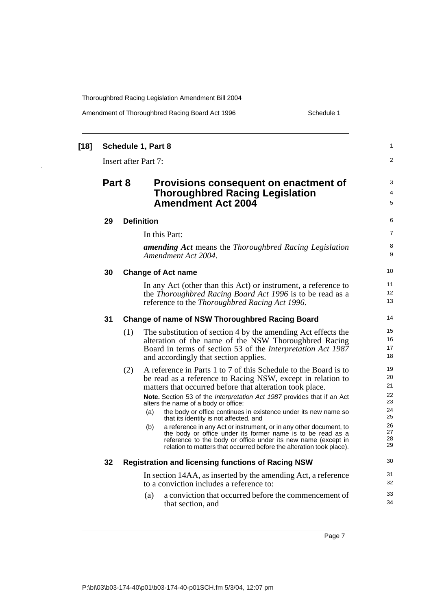| Amendment of Thoroughbred Racing Board Act 1996 |  |  |
|-------------------------------------------------|--|--|
|                                                 |  |  |

Schedule 1

| $[18]$ | Schedule 1, Part 8 |                                                                                                                                                                                                                                                                                   |                      |  |
|--------|--------------------|-----------------------------------------------------------------------------------------------------------------------------------------------------------------------------------------------------------------------------------------------------------------------------------|----------------------|--|
|        |                    | <b>Insert after Part 7:</b>                                                                                                                                                                                                                                                       | 2                    |  |
|        | Part 8             | Provisions consequent on enactment of<br><b>Thoroughbred Racing Legislation</b><br><b>Amendment Act 2004</b>                                                                                                                                                                      | 3<br>4<br>5          |  |
|        | 29                 | <b>Definition</b>                                                                                                                                                                                                                                                                 | 6                    |  |
|        |                    | In this Part:                                                                                                                                                                                                                                                                     | 7                    |  |
|        |                    | <b>amending Act</b> means the Thoroughbred Racing Legislation<br>Amendment Act 2004.                                                                                                                                                                                              | 8<br>9               |  |
|        | 30                 | <b>Change of Act name</b>                                                                                                                                                                                                                                                         | 10                   |  |
|        |                    | In any Act (other than this Act) or instrument, a reference to<br>the Thoroughbred Racing Board Act 1996 is to be read as a                                                                                                                                                       | 11<br>12             |  |
|        |                    | reference to the <i>Thoroughbred Racing Act 1996</i> .                                                                                                                                                                                                                            | 13                   |  |
|        | 31                 | <b>Change of name of NSW Thoroughbred Racing Board</b>                                                                                                                                                                                                                            |                      |  |
|        |                    | (1)<br>The substitution of section 4 by the amending Act effects the<br>alteration of the name of the NSW Thoroughbred Racing<br>Board in terms of section 53 of the Interpretation Act 1987<br>and accordingly that section applies.                                             | 15<br>16<br>17<br>18 |  |
|        |                    | A reference in Parts 1 to 7 of this Schedule to the Board is to<br>(2)<br>be read as a reference to Racing NSW, except in relation to<br>matters that occurred before that alteration took place.<br>Note. Section 53 of the Interpretation Act 1987 provides that if an Act      | 19<br>20<br>21<br>22 |  |
|        |                    | alters the name of a body or office:<br>the body or office continues in existence under its new name so<br>(a)<br>that its identity is not affected, and                                                                                                                          | 23<br>24<br>25       |  |
|        |                    | (b)<br>a reference in any Act or instrument, or in any other document, to<br>the body or office under its former name is to be read as a<br>reference to the body or office under its new name (except in<br>relation to matters that occurred before the alteration took place). | 26<br>27<br>28<br>29 |  |
|        | 32                 | <b>Registration and licensing functions of Racing NSW</b>                                                                                                                                                                                                                         | 30                   |  |
|        |                    | In section 14AA, as inserted by the amending Act, a reference<br>to a conviction includes a reference to:                                                                                                                                                                         | 31<br>32             |  |
|        |                    | a conviction that occurred before the commencement of<br>(a)<br>that section, and                                                                                                                                                                                                 | 33<br>34             |  |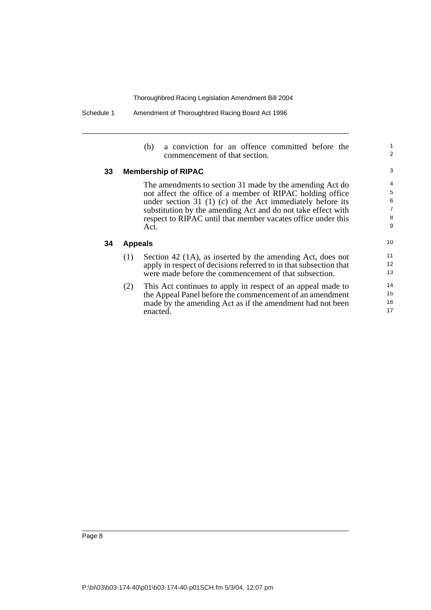(b) a conviction for an offence committed before the commencement of that section.

1 2

#### **33 Membership of RIPAC**

The amendments to section 31 made by the amending Act do not affect the office of a member of RIPAC holding office under section 31 (1) (c) of the Act immediately before its substitution by the amending Act and do not take effect with respect to RIPAC until that member vacates office under this Act.

#### **34 Appeals**

- (1) Section 42 (1A), as inserted by the amending Act, does not apply in respect of decisions referred to in that subsection that were made before the commencement of that subsection.
- (2) This Act continues to apply in respect of an appeal made to the Appeal Panel before the commencement of an amendment made by the amending Act as if the amendment had not been enacted.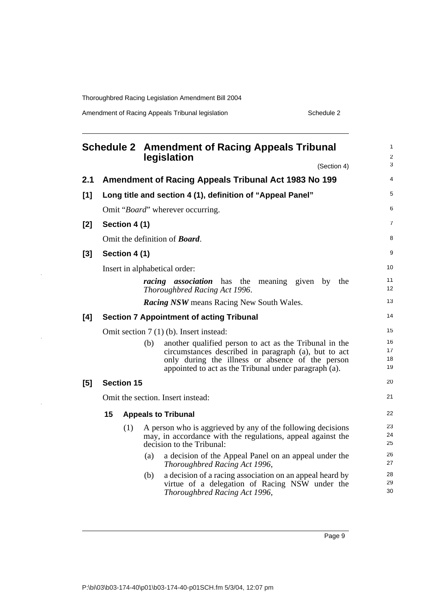Amendment of Racing Appeals Tribunal legislation Schedule 2

J.

l,

l,

<span id="page-16-0"></span>

|                                                 |    |                   | legislation                           | <b>Schedule 2 Amendment of Racing Appeals Tribunal</b>                                                                                                                                                                      |               |             | $\mathbf{1}$<br>2    |
|-------------------------------------------------|----|-------------------|---------------------------------------|-----------------------------------------------------------------------------------------------------------------------------------------------------------------------------------------------------------------------------|---------------|-------------|----------------------|
|                                                 |    |                   |                                       |                                                                                                                                                                                                                             |               | (Section 4) | 3                    |
| 2.1                                             |    |                   |                                       | Amendment of Racing Appeals Tribunal Act 1983 No 199                                                                                                                                                                        |               |             | 4                    |
| [1]                                             |    |                   |                                       | Long title and section 4 (1), definition of "Appeal Panel"                                                                                                                                                                  |               |             | 5                    |
|                                                 |    |                   | Omit "Board" wherever occurring.      |                                                                                                                                                                                                                             |               |             | 6                    |
| [2]                                             |    | Section 4 (1)     |                                       |                                                                                                                                                                                                                             |               |             | $\overline{7}$       |
|                                                 |    |                   | Omit the definition of <b>Board</b> . |                                                                                                                                                                                                                             |               |             | 8                    |
| [3]                                             |    | Section 4 (1)     |                                       |                                                                                                                                                                                                                             |               |             | 9                    |
|                                                 |    |                   | Insert in alphabetical order:         |                                                                                                                                                                                                                             |               |             | 10                   |
|                                                 |    |                   |                                       | <i>racing association</i> has the<br>Thoroughbred Racing Act 1996.                                                                                                                                                          | meaning given | by<br>the   | 11<br>12             |
| <b>Racing NSW</b> means Racing New South Wales. |    |                   |                                       |                                                                                                                                                                                                                             |               | 13          |                      |
| [4]                                             |    |                   |                                       | <b>Section 7 Appointment of acting Tribunal</b>                                                                                                                                                                             |               |             | 14                   |
|                                                 |    |                   |                                       | Omit section 7 (1) (b). Insert instead:                                                                                                                                                                                     |               |             | 15                   |
|                                                 |    |                   | (b)                                   | another qualified person to act as the Tribunal in the<br>circumstances described in paragraph (a), but to act<br>only during the illness or absence of the person<br>appointed to act as the Tribunal under paragraph (a). |               |             | 16<br>17<br>18<br>19 |
| [5]                                             |    | <b>Section 15</b> |                                       |                                                                                                                                                                                                                             |               |             | 20                   |
|                                                 |    |                   | Omit the section. Insert instead:     |                                                                                                                                                                                                                             |               |             | 21                   |
|                                                 | 15 |                   | <b>Appeals to Tribunal</b>            |                                                                                                                                                                                                                             |               |             | 22                   |
|                                                 |    | (1)               |                                       | A person who is aggrieved by any of the following decisions<br>may, in accordance with the regulations, appeal against the<br>decision to the Tribunal:                                                                     |               |             | 23<br>24<br>25       |
|                                                 |    |                   | (a)                                   | a decision of the Appeal Panel on an appeal under the<br>Thoroughbred Racing Act 1996,                                                                                                                                      |               |             | 26<br>27             |
|                                                 |    |                   | (b)                                   | a decision of a racing association on an appeal heard by<br>virtue of a delegation of Racing NSW under the<br>Thoroughbred Racing Act 1996,                                                                                 |               |             | 28<br>29<br>30       |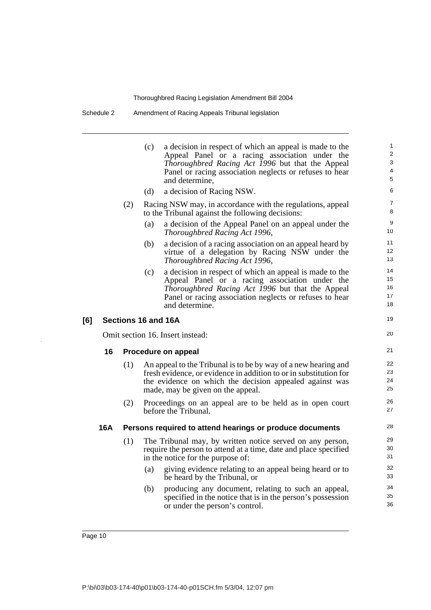Schedule 2 Amendment of Racing Appeals Tribunal legislation

|     |     | (c) | a decision in respect of which an appeal is made to the<br>Appeal Panel or a racing association under the<br>Thoroughbred Racing Act 1996 but that the Appeal<br>Panel or racing association neglects or refuses to hear<br>and determine. | 1<br>$\overline{2}$<br>3<br>4<br>5 |
|-----|-----|-----|--------------------------------------------------------------------------------------------------------------------------------------------------------------------------------------------------------------------------------------------|------------------------------------|
|     |     | (d) | a decision of Racing NSW.                                                                                                                                                                                                                  | 6                                  |
|     | (2) |     | Racing NSW may, in accordance with the regulations, appeal<br>to the Tribunal against the following decisions:                                                                                                                             | 7<br>8                             |
|     |     | (a) | a decision of the Appeal Panel on an appeal under the<br>Thoroughbred Racing Act 1996,                                                                                                                                                     | 9<br>10                            |
|     |     | (b) | a decision of a racing association on an appeal heard by<br>virtue of a delegation by Racing NSW under the<br>Thoroughbred Racing Act 1996,                                                                                                | 11<br>12<br>13                     |
|     |     | (c) | a decision in respect of which an appeal is made to the<br>Appeal Panel or a racing association under the<br>Thoroughbred Racing Act 1996 but that the Appeal<br>Panel or racing association neglects or refuses to hear<br>and determine. | 14<br>15<br>16<br>17<br>18         |
|     |     |     | Sections 16 and 16A                                                                                                                                                                                                                        | 19                                 |
|     |     |     | Omit section 16. Insert instead:                                                                                                                                                                                                           | 20                                 |
| 16  |     |     | Procedure on appeal                                                                                                                                                                                                                        | 21                                 |
|     | (1) |     | An appeal to the Tribunal is to be by way of a new hearing and<br>fresh evidence, or evidence in addition to or in substitution for<br>the evidence on which the decision appealed against was<br>made, may be given on the appeal.        | 22<br>23<br>24<br>25               |
|     | (2) |     | Proceedings on an appeal are to be held as in open court<br>before the Tribunal.                                                                                                                                                           | 26<br>27                           |
| 16A |     |     | Persons required to attend hearings or produce documents                                                                                                                                                                                   | 28                                 |
|     | (1) |     | The Tribunal may, by written notice served on any person,<br>require the person to attend at a time, date and place specified<br>in the notice for the purpose of:                                                                         | 29<br>30<br>31                     |
|     |     | (a) | giving evidence relating to an appeal being heard or to<br>be heard by the Tribunal, or                                                                                                                                                    | 32<br>33                           |
|     |     | (b) | producing any document, relating to such an appeal,<br>specified in the notice that is in the person's possession<br>or under the person's control.                                                                                        | 34<br>35<br>36                     |
|     |     |     |                                                                                                                                                                                                                                            |                                    |

Page 10

**[6]**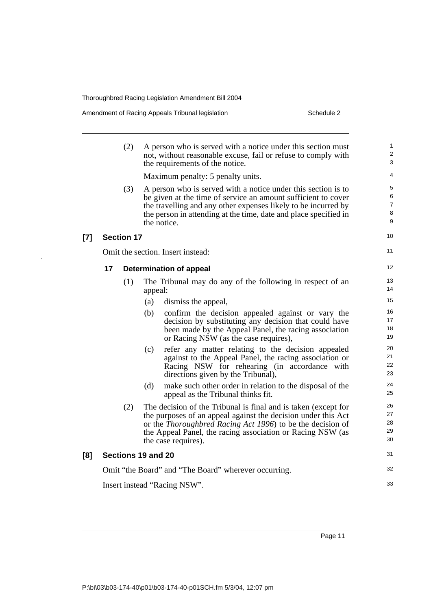**[7] Section 17**

i.

**[8]** 

|    | (2)               | the requirements of the notice.                                                                                                                                                                                                                                                     | A person who is served with a notice under this section must<br>not, without reasonable excuse, fail or refuse to comply with                                                                                                                                       | 1<br>$\overline{c}$<br>3   |  |  |  |  |
|----|-------------------|-------------------------------------------------------------------------------------------------------------------------------------------------------------------------------------------------------------------------------------------------------------------------------------|---------------------------------------------------------------------------------------------------------------------------------------------------------------------------------------------------------------------------------------------------------------------|----------------------------|--|--|--|--|
|    |                   | Maximum penalty: 5 penalty units.                                                                                                                                                                                                                                                   |                                                                                                                                                                                                                                                                     | 4                          |  |  |  |  |
|    | (3)               | A person who is served with a notice under this section is to<br>be given at the time of service an amount sufficient to cover<br>the travelling and any other expenses likely to be incurred by<br>the person in attending at the time, date and place specified in<br>the notice. |                                                                                                                                                                                                                                                                     |                            |  |  |  |  |
|    | <b>Section 17</b> |                                                                                                                                                                                                                                                                                     |                                                                                                                                                                                                                                                                     | 10                         |  |  |  |  |
|    |                   | Omit the section. Insert instead:                                                                                                                                                                                                                                                   |                                                                                                                                                                                                                                                                     | 11                         |  |  |  |  |
| 17 |                   | <b>Determination of appeal</b>                                                                                                                                                                                                                                                      |                                                                                                                                                                                                                                                                     | 12                         |  |  |  |  |
|    | (1)               | appeal:                                                                                                                                                                                                                                                                             | The Tribunal may do any of the following in respect of an                                                                                                                                                                                                           | 13<br>14                   |  |  |  |  |
|    |                   | dismiss the appeal,<br>(a)                                                                                                                                                                                                                                                          |                                                                                                                                                                                                                                                                     | 15                         |  |  |  |  |
|    |                   | (b)                                                                                                                                                                                                                                                                                 | confirm the decision appealed against or vary the<br>decision by substituting any decision that could have<br>been made by the Appeal Panel, the racing association<br>or Racing NSW (as the case requires),                                                        | 16<br>17<br>18<br>19       |  |  |  |  |
|    |                   | (c)                                                                                                                                                                                                                                                                                 | refer any matter relating to the decision appealed<br>against to the Appeal Panel, the racing association or<br>Racing NSW for rehearing (in accordance with<br>directions given by the Tribunal),                                                                  | 20<br>21<br>22<br>23       |  |  |  |  |
|    |                   | (d)                                                                                                                                                                                                                                                                                 | make such other order in relation to the disposal of the<br>appeal as the Tribunal thinks fit.                                                                                                                                                                      | 24<br>25                   |  |  |  |  |
|    | (2)               | the case requires).                                                                                                                                                                                                                                                                 | The decision of the Tribunal is final and is taken (except for<br>the purposes of an appeal against the decision under this Act<br>or the <i>Thoroughbred Racing Act 1996</i> ) to be the decision of<br>the Appeal Panel, the racing association or Racing NSW (as | 26<br>27<br>28<br>29<br>30 |  |  |  |  |
|    |                   | Sections 19 and 20                                                                                                                                                                                                                                                                  |                                                                                                                                                                                                                                                                     | 31                         |  |  |  |  |
|    |                   |                                                                                                                                                                                                                                                                                     | Omit "the Board" and "The Board" wherever occurring.                                                                                                                                                                                                                | 32                         |  |  |  |  |
|    |                   | Insert instead "Racing NSW".                                                                                                                                                                                                                                                        |                                                                                                                                                                                                                                                                     | 33                         |  |  |  |  |
|    |                   |                                                                                                                                                                                                                                                                                     |                                                                                                                                                                                                                                                                     |                            |  |  |  |  |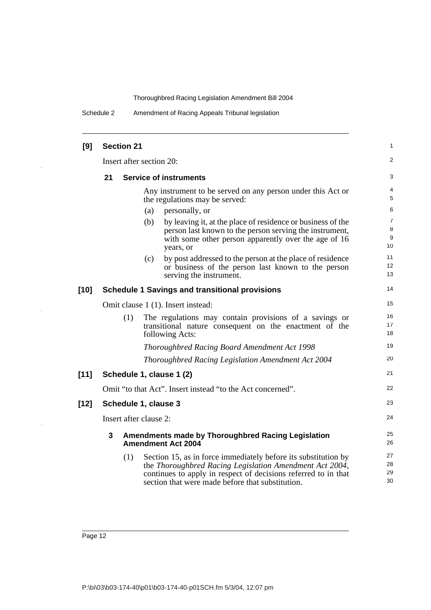Schedule 2 Amendment of Racing Appeals Tribunal legislation

| [9]    | <b>Section 21</b>                                     |     |                                                                                        |                                                                                                                                                                                                                                                 |                                |
|--------|-------------------------------------------------------|-----|----------------------------------------------------------------------------------------|-------------------------------------------------------------------------------------------------------------------------------------------------------------------------------------------------------------------------------------------------|--------------------------------|
|        | Insert after section 20:                              |     |                                                                                        |                                                                                                                                                                                                                                                 |                                |
|        | 21                                                    |     |                                                                                        | <b>Service of instruments</b>                                                                                                                                                                                                                   | 3                              |
|        |                                                       |     |                                                                                        | Any instrument to be served on any person under this Act or<br>the regulations may be served:                                                                                                                                                   | 4<br>5                         |
|        |                                                       |     | (a)                                                                                    | personally, or                                                                                                                                                                                                                                  | 6                              |
|        |                                                       |     | (b)                                                                                    | by leaving it, at the place of residence or business of the<br>person last known to the person serving the instrument,<br>with some other person apparently over the age of 16<br>years, or                                                     | $\overline{7}$<br>8<br>9<br>10 |
|        |                                                       |     | (c)                                                                                    | by post addressed to the person at the place of residence<br>or business of the person last known to the person<br>serving the instrument.                                                                                                      | 11<br>12<br>13                 |
| $[10]$ | <b>Schedule 1 Savings and transitional provisions</b> |     |                                                                                        |                                                                                                                                                                                                                                                 |                                |
|        | Omit clause 1 (1). Insert instead:                    |     |                                                                                        |                                                                                                                                                                                                                                                 |                                |
|        | (1)                                                   |     |                                                                                        | The regulations may contain provisions of a savings or<br>transitional nature consequent on the enactment of the<br>following Acts:                                                                                                             | 16<br>17<br>18                 |
|        |                                                       |     |                                                                                        | Thoroughbred Racing Board Amendment Act 1998                                                                                                                                                                                                    | 19                             |
|        |                                                       |     |                                                                                        | Thoroughbred Racing Legislation Amendment Act 2004                                                                                                                                                                                              | 20                             |
| [11]   |                                                       |     |                                                                                        | Schedule 1, clause 1 (2)                                                                                                                                                                                                                        | 21                             |
|        |                                                       |     |                                                                                        | Omit "to that Act". Insert instead "to the Act concerned".                                                                                                                                                                                      | 22                             |
| $[12]$ |                                                       |     |                                                                                        | Schedule 1, clause 3                                                                                                                                                                                                                            | 23                             |
|        | Insert after clause 2:                                |     |                                                                                        |                                                                                                                                                                                                                                                 |                                |
|        | 3                                                     |     | <b>Amendments made by Thoroughbred Racing Legislation</b><br><b>Amendment Act 2004</b> |                                                                                                                                                                                                                                                 |                                |
|        |                                                       | (1) |                                                                                        | Section 15, as in force immediately before its substitution by<br>the Thoroughbred Racing Legislation Amendment Act 2004,<br>continues to apply in respect of decisions referred to in that<br>section that were made before that substitution. | 27<br>28<br>29<br>30           |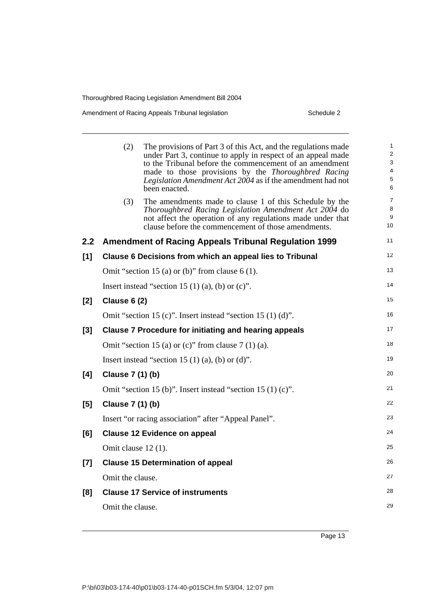|     | (2)                   | The provisions of Part 3 of this Act, and the regulations made<br>under Part 3, continue to apply in respect of an appeal made<br>to the Tribunal before the commencement of an amendment<br>made to those provisions by the Thoroughbred Racing<br>Legislation Amendment Act 2004 as if the amendment had not<br>been enacted. | 1<br>$\overline{\mathbf{c}}$<br>3<br>4<br>5<br>6 |
|-----|-----------------------|---------------------------------------------------------------------------------------------------------------------------------------------------------------------------------------------------------------------------------------------------------------------------------------------------------------------------------|--------------------------------------------------|
|     | (3)                   | The amendments made to clause 1 of this Schedule by the<br>Thoroughbred Racing Legislation Amendment Act 2004 do<br>not affect the operation of any regulations made under that<br>clause before the commencement of those amendments.                                                                                          | 7<br>8<br>9<br>10                                |
| 2.2 |                       | <b>Amendment of Racing Appeals Tribunal Regulation 1999</b>                                                                                                                                                                                                                                                                     | 11                                               |
| [1] |                       | Clause 6 Decisions from which an appeal lies to Tribunal                                                                                                                                                                                                                                                                        | 12                                               |
|     |                       | Omit "section 15 (a) or (b)" from clause $6(1)$ .                                                                                                                                                                                                                                                                               | 13                                               |
|     |                       | Insert instead "section 15 $(1)$ $(a)$ , $(b)$ or $(c)$ ".                                                                                                                                                                                                                                                                      | 14                                               |
| [2] | <b>Clause 6 (2)</b>   |                                                                                                                                                                                                                                                                                                                                 | 15                                               |
|     |                       | Omit "section 15 (c)". Insert instead "section 15 (1) (d)".                                                                                                                                                                                                                                                                     | 16                                               |
| [3] |                       | <b>Clause 7 Procedure for initiating and hearing appeals</b>                                                                                                                                                                                                                                                                    | 17                                               |
|     |                       | Omit "section 15 (a) or (c)" from clause $7(1)(a)$ .                                                                                                                                                                                                                                                                            | 18                                               |
|     |                       | Insert instead "section 15 $(1)$ $(a)$ , $(b)$ or $(d)$ ".                                                                                                                                                                                                                                                                      | 19                                               |
| [4] | Clause 7 (1) (b)      |                                                                                                                                                                                                                                                                                                                                 | 20                                               |
|     |                       | Omit "section 15 (b)". Insert instead "section 15 (1) (c)".                                                                                                                                                                                                                                                                     | 21                                               |
| [5] | Clause 7 (1) (b)      |                                                                                                                                                                                                                                                                                                                                 | 22                                               |
|     |                       | Insert "or racing association" after "Appeal Panel".                                                                                                                                                                                                                                                                            | 23                                               |
| [6] |                       | <b>Clause 12 Evidence on appeal</b>                                                                                                                                                                                                                                                                                             | 24                                               |
|     | Omit clause $12(1)$ . |                                                                                                                                                                                                                                                                                                                                 | 25                                               |
| [7] |                       | <b>Clause 15 Determination of appeal</b>                                                                                                                                                                                                                                                                                        | 26                                               |
|     | Omit the clause.      |                                                                                                                                                                                                                                                                                                                                 | 27                                               |
| [8] |                       | <b>Clause 17 Service of instruments</b>                                                                                                                                                                                                                                                                                         | 28                                               |
|     | Omit the clause.      |                                                                                                                                                                                                                                                                                                                                 | 29                                               |
|     |                       |                                                                                                                                                                                                                                                                                                                                 |                                                  |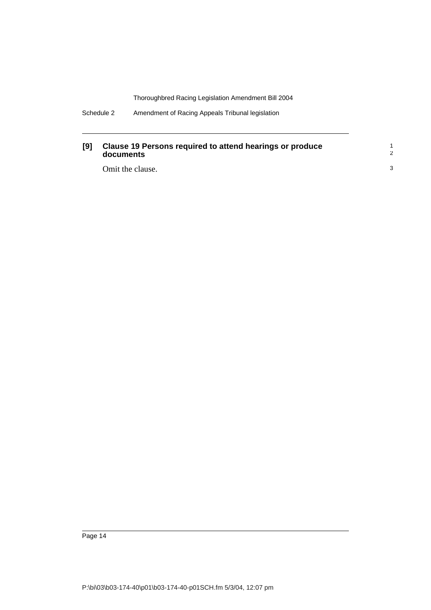| Schedule 2 | Amendment of Racing Appeals Tribunal legislation |
|------------|--------------------------------------------------|
|            |                                                  |

#### **[9] Clause 19 Persons required to attend hearings or produce documents** Omit the clause. 1 2 3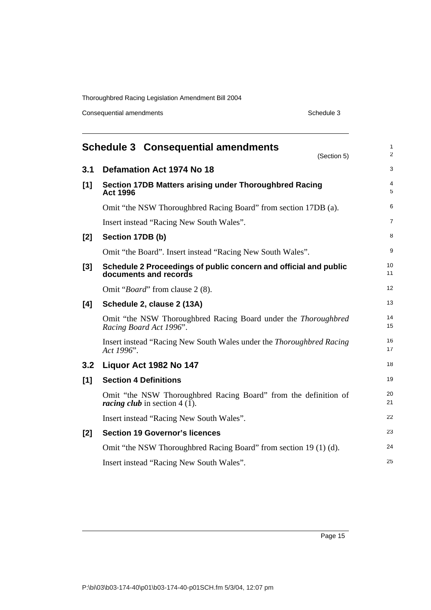Consequential amendments **Schedule 3** Schedule 3

<span id="page-22-0"></span>

|       | <b>Schedule 3 Consequential amendments</b><br>(Section 5)                                                 | $\mathbf{1}$<br>$\overline{2}$ |
|-------|-----------------------------------------------------------------------------------------------------------|--------------------------------|
| 3.1   | Defamation Act 1974 No 18                                                                                 | 3                              |
| [1]   | <b>Section 17DB Matters arising under Thoroughbred Racing</b><br><b>Act 1996</b>                          | 4<br>5                         |
|       | Omit "the NSW Thoroughbred Racing Board" from section 17DB (a).                                           | 6                              |
|       | Insert instead "Racing New South Wales".                                                                  | 7                              |
| $[2]$ | Section 17DB (b)                                                                                          | 8                              |
|       | Omit "the Board". Insert instead "Racing New South Wales".                                                | $\boldsymbol{9}$               |
| $[3]$ | Schedule 2 Proceedings of public concern and official and public<br>documents and records                 | 10<br>11                       |
|       | Omit " <i>Board</i> " from clause 2 (8).                                                                  | 12                             |
| [4]   | Schedule 2, clause 2 (13A)                                                                                | 13                             |
|       | Omit "the NSW Thoroughbred Racing Board under the Thoroughbred<br>Racing Board Act 1996".                 | 14<br>15                       |
|       | Insert instead "Racing New South Wales under the <i>Thoroughbred Racing</i><br>Act 1996".                 | 16<br>17                       |
| 3.2   | Liquor Act 1982 No 147                                                                                    | 18                             |
| [1]   | <b>Section 4 Definitions</b>                                                                              | 19                             |
|       | Omit "the NSW Thoroughbred Racing Board" from the definition of<br><i>racing club</i> in section $4(1)$ . | 20<br>21                       |
|       | Insert instead "Racing New South Wales".                                                                  | 22                             |
| $[2]$ | <b>Section 19 Governor's licences</b>                                                                     | 23                             |
|       | Omit "the NSW Thoroughbred Racing Board" from section 19 (1) (d).                                         | 24                             |
|       | Insert instead "Racing New South Wales".                                                                  | 25                             |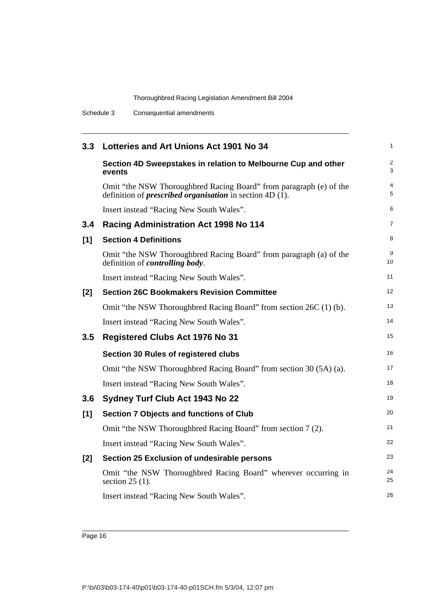| 3.3   | Lotteries and Art Unions Act 1901 No 34                                                                                                             | 1        |
|-------|-----------------------------------------------------------------------------------------------------------------------------------------------------|----------|
|       | Section 4D Sweepstakes in relation to Melbourne Cup and other<br>events                                                                             | 2<br>3   |
|       | Omit "the NSW Thoroughbred Racing Board" from paragraph (e) of the<br>definition of <i>prescribed organisation</i> in section 4D $(\overline{1})$ . | 4<br>5   |
|       | Insert instead "Racing New South Wales".                                                                                                            | 6        |
| 3.4   | <b>Racing Administration Act 1998 No 114</b>                                                                                                        | 7        |
| [1]   | <b>Section 4 Definitions</b>                                                                                                                        | 8        |
|       | Omit "the NSW Thoroughbred Racing Board" from paragraph (a) of the<br>definition of <i>controlling body</i> .                                       | 9<br>10  |
|       | Insert instead "Racing New South Wales".                                                                                                            | 11       |
| [2]   | <b>Section 26C Bookmakers Revision Committee</b>                                                                                                    | 12       |
|       | Omit "the NSW Thoroughbred Racing Board" from section 26C (1) (b).                                                                                  | 13       |
|       | Insert instead "Racing New South Wales".                                                                                                            | 14       |
| 3.5   | <b>Registered Clubs Act 1976 No 31</b>                                                                                                              | 15       |
|       | Section 30 Rules of registered clubs                                                                                                                | 16       |
|       | Omit "the NSW Thoroughbred Racing Board" from section 30 (5A) (a).                                                                                  | 17       |
|       | Insert instead "Racing New South Wales".                                                                                                            | 18       |
| 3.6   | Sydney Turf Club Act 1943 No 22                                                                                                                     | 19       |
| $[1]$ | <b>Section 7 Objects and functions of Club</b>                                                                                                      | 20       |
|       | Omit "the NSW Thoroughbred Racing Board" from section 7 (2).                                                                                        | 21       |
|       | Insert instead "Racing New South Wales".                                                                                                            | 22       |
| [2]   | Section 25 Exclusion of undesirable persons                                                                                                         | 23       |
|       | Omit "the NSW Thoroughbred Racing Board" wherever occurring in<br>section $25(1)$ .                                                                 | 24<br>25 |
|       | Insert instead "Racing New South Wales".                                                                                                            | 26       |